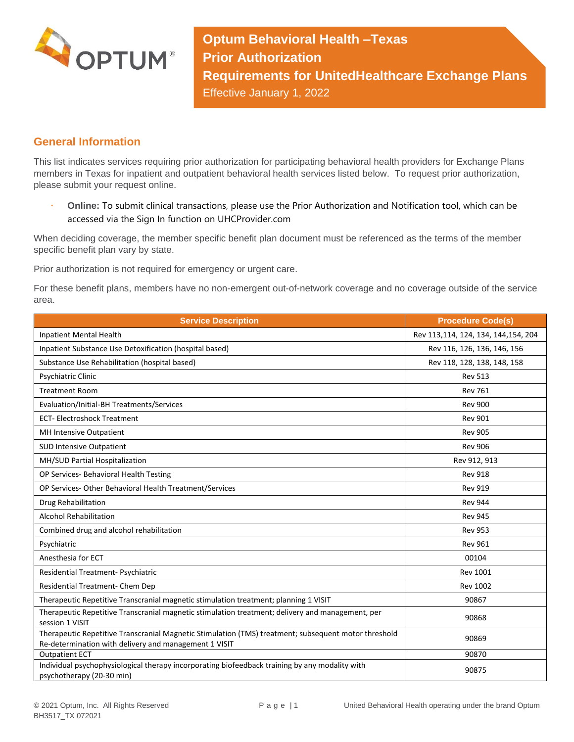

**Optum Behavioral Health –Texas Prior Authorization Requirements for UnitedHealthcare Exchange Plans** Effective January 1, 2022

## **General Information**

This list indicates services requiring prior authorization for participating behavioral health providers for Exchange Plans members in Texas for inpatient and outpatient behavioral health services listed below. To request prior authorization, please submit your request online.

 **Online:** To submit clinical transactions, please use the Prior Authorization and Notification tool, which can be accessed via the Sign In function on UHCProvider.com

When deciding coverage, the member specific benefit plan document must be referenced as the terms of the member specific benefit plan vary by state.

Prior authorization is not required for emergency or urgent care.

For these benefit plans, members have no non-emergent out-of-network coverage and no coverage outside of the service area.

| <b>Service Description</b>                                                                                                                                    | <b>Procedure Code(s)</b>            |
|---------------------------------------------------------------------------------------------------------------------------------------------------------------|-------------------------------------|
| Inpatient Mental Health                                                                                                                                       | Rev 113,114, 124, 134, 144,154, 204 |
| Inpatient Substance Use Detoxification (hospital based)                                                                                                       | Rev 116, 126, 136, 146, 156         |
| Substance Use Rehabilitation (hospital based)                                                                                                                 | Rev 118, 128, 138, 148, 158         |
| <b>Psychiatric Clinic</b>                                                                                                                                     | <b>Rev 513</b>                      |
| <b>Treatment Room</b>                                                                                                                                         | <b>Rev 761</b>                      |
| Evaluation/Initial-BH Treatments/Services                                                                                                                     | <b>Rev 900</b>                      |
| <b>ECT-Electroshock Treatment</b>                                                                                                                             | <b>Rev 901</b>                      |
| MH Intensive Outpatient                                                                                                                                       | <b>Rev 905</b>                      |
| <b>SUD Intensive Outpatient</b>                                                                                                                               | <b>Rev 906</b>                      |
| MH/SUD Partial Hospitalization                                                                                                                                | Rev 912, 913                        |
| OP Services- Behavioral Health Testing                                                                                                                        | <b>Rev 918</b>                      |
| OP Services- Other Behavioral Health Treatment/Services                                                                                                       | <b>Rev 919</b>                      |
| Drug Rehabilitation                                                                                                                                           | <b>Rev 944</b>                      |
| <b>Alcohol Rehabilitation</b>                                                                                                                                 | <b>Rev 945</b>                      |
| Combined drug and alcohol rehabilitation                                                                                                                      | <b>Rev 953</b>                      |
| Psychiatric                                                                                                                                                   | <b>Rev 961</b>                      |
| Anesthesia for ECT                                                                                                                                            | 00104                               |
| Residential Treatment- Psychiatric                                                                                                                            | <b>Rev 1001</b>                     |
| Residential Treatment- Chem Dep                                                                                                                               | <b>Rev 1002</b>                     |
| Therapeutic Repetitive Transcranial magnetic stimulation treatment; planning 1 VISIT                                                                          | 90867                               |
| Therapeutic Repetitive Transcranial magnetic stimulation treatment; delivery and management, per<br>session 1 VISIT                                           | 90868                               |
| Therapeutic Repetitive Transcranial Magnetic Stimulation (TMS) treatment; subsequent motor threshold<br>Re-determination with delivery and management 1 VISIT | 90869                               |
| <b>Outpatient ECT</b>                                                                                                                                         | 90870                               |
| Individual psychophysiological therapy incorporating biofeedback training by any modality with<br>psychotherapy (20-30 min)                                   | 90875                               |